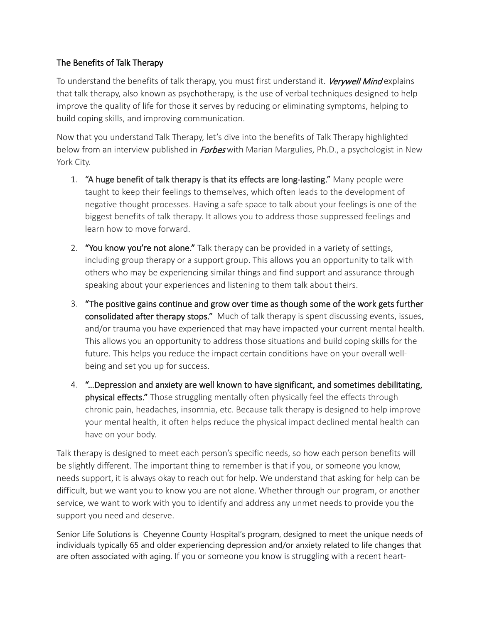## The Benefits of Talk Therapy

To understand the benefits of talk therapy, you must first understand it. *Verywell Mind* explains that talk therapy, also known as psychotherapy, is the use of verbal techniques designed to help improve the quality of life for those it serves by reducing or eliminating symptoms, helping to build coping skills, and improving communication.

Now that you understand Talk Therapy, let's dive into the benefits of Talk Therapy highlighted below from an interview published in *Forbes* with Marian Margulies, Ph.D., a psychologist in New York City.

- 1. "A huge benefit of talk therapy is that its effects are long-lasting." Many people were taught to keep their feelings to themselves, which often leads to the development of negative thought processes. Having a safe space to talk about your feelings is one of the biggest benefits of talk therapy. It allows you to address those suppressed feelings and learn how to move forward.
- 2. "You know you're not alone." Talk therapy can be provided in a variety of settings, including group therapy or a support group. This allows you an opportunity to talk with others who may be experiencing similar things and find support and assurance through speaking about your experiences and listening to them talk about theirs.
- 3. "The positive gains continue and grow over time as though some of the work gets further consolidated after therapy stops." Much of talk therapy is spent discussing events, issues, and/or trauma you have experienced that may have impacted your current mental health. This allows you an opportunity to address those situations and build coping skills for the future. This helps you reduce the impact certain conditions have on your overall wellbeing and set you up for success.
- 4. "…Depression and anxiety are well known to have significant, and sometimes debilitating, physical effects." Those struggling mentally often physically feel the effects through chronic pain, headaches, insomnia, etc. Because talk therapy is designed to help improve your mental health, it often helps reduce the physical impact declined mental health can have on your body.

Talk therapy is designed to meet each person's specific needs, so how each person benefits will be slightly different. The important thing to remember is that if you, or someone you know, needs support, it is always okay to reach out for help. We understand that asking for help can be difficult, but we want you to know you are not alone. Whether through our program, or another service, we want to work with you to identify and address any unmet needs to provide you the support you need and deserve.

Senior Life Solutions is Cheyenne County Hospital's program, designed to meet the unique needs of individuals typically 65 and older experiencing depression and/or anxiety related to life changes that are often associated with aging. If you or someone you know is struggling with a recent heart